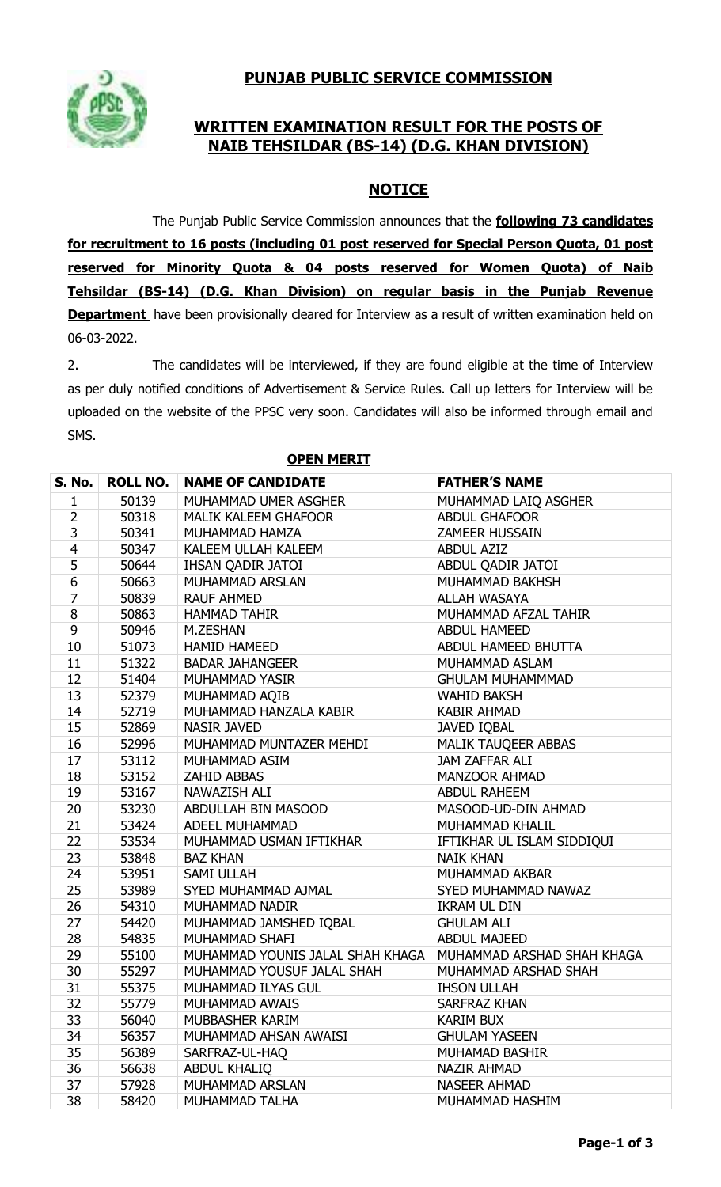# **PUNJAB PUBLIC SERVICE COMMISSION**



## **WRITTEN EXAMINATION RESULT FOR THE POSTS OF NAIB TEHSILDAR (BS-14) (D.G. KHAN DIVISION)**

### **NOTICE**

The Punjab Public Service Commission announces that the **following 73 candidates for recruitment to 16 posts (including 01 post reserved for Special Person Quota, 01 post reserved for Minority Quota & 04 posts reserved for Women Quota) of Naib Tehsildar (BS-14) (D.G. Khan Division) on regular basis in the Punjab Revenue Department** have been provisionally cleared for Interview as a result of written examination held on 06-03-2022.

2. The candidates will be interviewed, if they are found eligible at the time of Interview as per duly notified conditions of Advertisement & Service Rules. Call up letters for Interview will be uploaded on the website of the PPSC very soon. Candidates will also be informed through email and SMS.

| <b>S. No.</b>  | <b>ROLL NO.</b> | <b>NAME OF CANDIDATE</b>         | <b>FATHER'S NAME</b>       |
|----------------|-----------------|----------------------------------|----------------------------|
| $\mathbf 1$    | 50139           | MUHAMMAD UMER ASGHER             | MUHAMMAD LAIQ ASGHER       |
| $\overline{2}$ | 50318           | <b>MALIK KALEEM GHAFOOR</b>      | <b>ABDUL GHAFOOR</b>       |
| $\overline{3}$ | 50341           | MUHAMMAD HAMZA                   | <b>ZAMEER HUSSAIN</b>      |
| $\overline{4}$ | 50347           | KALEEM ULLAH KALEEM              | <b>ABDUL AZIZ</b>          |
| 5              | 50644           | IHSAN QADIR JATOI                | ABDUL QADIR JATOI          |
| $\overline{6}$ | 50663           | MUHAMMAD ARSLAN                  | MUHAMMAD BAKHSH            |
| $\overline{7}$ | 50839           | <b>RAUF AHMED</b>                | <b>ALLAH WASAYA</b>        |
| 8              | 50863           | <b>HAMMAD TAHIR</b>              | MUHAMMAD AFZAL TAHIR       |
| 9              | 50946           | M.ZESHAN                         | <b>ABDUL HAMEED</b>        |
| 10             | 51073           | <b>HAMID HAMEED</b>              | ABDUL HAMEED BHUTTA        |
| 11             | 51322           | <b>BADAR JAHANGEER</b>           | MUHAMMAD ASLAM             |
| 12             | 51404           | MUHAMMAD YASIR                   | <b>GHULAM MUHAMMMAD</b>    |
| 13             | 52379           | MUHAMMAD AQIB                    | <b>WAHID BAKSH</b>         |
| 14             | 52719           | MUHAMMAD HANZALA KABIR           | <b>KABIR AHMAD</b>         |
| 15             | 52869           | <b>NASIR JAVED</b>               | <b>JAVED IQBAL</b>         |
| 16             | 52996           | MUHAMMAD MUNTAZER MEHDI          | MALIK TAUQEER ABBAS        |
| 17             | 53112           | MUHAMMAD ASIM                    | JAM ZAFFAR ALI             |
| 18             | 53152           | <b>ZAHID ABBAS</b>               | <b>MANZOOR AHMAD</b>       |
| 19             | 53167           | NAWAZISH ALI                     | <b>ABDUL RAHEEM</b>        |
| 20             | 53230           | ABDULLAH BIN MASOOD              | MASOOD-UD-DIN AHMAD        |
| 21             | 53424           | ADEEL MUHAMMAD                   | MUHAMMAD KHALIL            |
| 22             | 53534           | MUHAMMAD USMAN IFTIKHAR          | IFTIKHAR UL ISLAM SIDDIQUI |
| 23             | 53848           | <b>BAZ KHAN</b>                  | <b>NAIK KHAN</b>           |
| 24             | 53951           | SAMI ULLAH                       | MUHAMMAD AKBAR             |
| 25             | 53989           | SYED MUHAMMAD AJMAL              | SYED MUHAMMAD NAWAZ        |
| 26             | 54310           | MUHAMMAD NADIR                   | <b>IKRAM UL DIN</b>        |
| 27             | 54420           | MUHAMMAD JAMSHED IQBAL           | <b>GHULAM ALI</b>          |
| 28             | 54835           | MUHAMMAD SHAFI                   | <b>ABDUL MAJEED</b>        |
| 29             | 55100           | MUHAMMAD YOUNIS JALAL SHAH KHAGA | MUHAMMAD ARSHAD SHAH KHAGA |
| 30             | 55297           | MUHAMMAD YOUSUF JALAL SHAH       | MUHAMMAD ARSHAD SHAH       |
| 31             | 55375           | MUHAMMAD ILYAS GUL               | <b>IHSON ULLAH</b>         |
| 32             | 55779           | MUHAMMAD AWAIS                   | SARFRAZ KHAN               |
| 33             | 56040           | MUBBASHER KARIM                  | <b>KARIM BUX</b>           |
| 34             | 56357           | MUHAMMAD AHSAN AWAISI            | <b>GHULAM YASEEN</b>       |
| 35             | 56389           | SARFRAZ-UL-HAQ                   | MUHAMAD BASHIR             |
| 36             | 56638           | <b>ABDUL KHALIQ</b>              | <b>NAZIR AHMAD</b>         |
| 37             | 57928           | MUHAMMAD ARSLAN                  | <b>NASEER AHMAD</b>        |
| 38             | 58420           | MUHAMMAD TALHA                   | MUHAMMAD HASHIM            |

**OPEN MERIT**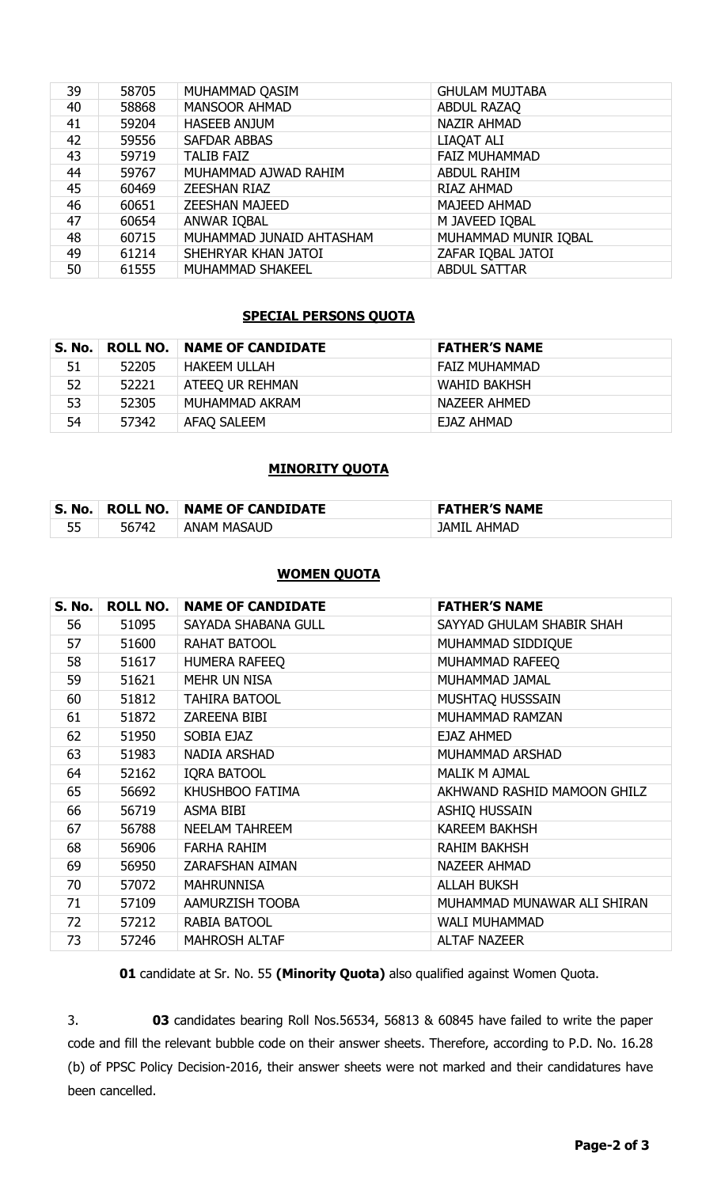| 39 | 58705 | MUHAMMAD QASIM           | <b>GHULAM MUJTABA</b> |
|----|-------|--------------------------|-----------------------|
| 40 | 58868 | <b>MANSOOR AHMAD</b>     | ABDUL RAZAQ           |
| 41 | 59204 | <b>HASEEB ANJUM</b>      | <b>NAZIR AHMAD</b>    |
| 42 | 59556 | <b>SAFDAR ABBAS</b>      | LIAQAT ALI            |
| 43 | 59719 | <b>TALIB FAIZ</b>        | <b>FAIZ MUHAMMAD</b>  |
| 44 | 59767 | MUHAMMAD AJWAD RAHIM     | <b>ABDUL RAHIM</b>    |
| 45 | 60469 | <b>ZEESHAN RIAZ</b>      | <b>RIAZ AHMAD</b>     |
| 46 | 60651 | <b>ZEESHAN MAJEED</b>    | <b>MAJEED AHMAD</b>   |
| 47 | 60654 | ANWAR IQBAL              | M JAVEED IQBAL        |
| 48 | 60715 | MUHAMMAD JUNAID AHTASHAM | MUHAMMAD MUNIR IQBAL  |
| 49 | 61214 | SHEHRYAR KHAN JATOI      | ZAFAR IQBAL JATOI     |
| 50 | 61555 | <b>MUHAMMAD SHAKEEL</b>  | <b>ABDUL SATTAR</b>   |

#### **SPECIAL PERSONS QUOTA**

| S. No. |       | <b>ROLL NO.   NAME OF CANDIDATE</b> | <b>FATHER'S NAME</b> |
|--------|-------|-------------------------------------|----------------------|
| 51     | 52205 | <b>HAKEEM ULLAH</b>                 | <b>FAIZ MUHAMMAD</b> |
| 52     | 52221 | ATEEQ UR REHMAN                     | WAHID BAKHSH         |
| 53     | 52305 | MUHAMMAD AKRAM                      | NAZEER AHMED         |
| 54     | 57342 | AFAQ SALEEM                         | EJAZ AHMAD           |

### **MINORITY QUOTA**

| <b>No</b><br>S. | <b>ROLL NO.</b> | <b>NAME OF CANDIDATE</b> | <b>FATHER'S NAME</b> |
|-----------------|-----------------|--------------------------|----------------------|
|                 | 742 T<br>56     | <b>ANAM MASAUD</b>       | AHMAD<br>JAMIL       |

#### **WOMEN QUOTA**

| <b>S. No.</b> | <b>ROLL NO.</b> | <b>NAME OF CANDIDATE</b> | <b>FATHER'S NAME</b>        |
|---------------|-----------------|--------------------------|-----------------------------|
| 56            | 51095           | SAYADA SHABANA GULL      | SAYYAD GHULAM SHABIR SHAH   |
| 57            | 51600           | RAHAT BATOOL             | MUHAMMAD SIDDIQUE           |
| 58            | 51617           | <b>HUMERA RAFEEQ</b>     | MUHAMMAD RAFEEQ             |
| 59            | 51621           | <b>MEHR UN NISA</b>      | MUHAMMAD JAMAL              |
| 60            | 51812           | <b>TAHIRA BATOOL</b>     | MUSHTAQ HUSSSAIN            |
| 61            | 51872           | <b>ZAREENA BIBI</b>      | MUHAMMAD RAMZAN             |
| 62            | 51950           | SOBIA EJAZ               | <b>EJAZ AHMED</b>           |
| 63            | 51983           | NADIA ARSHAD             | MUHAMMAD ARSHAD             |
| 64            | 52162           | <b>IQRA BATOOL</b>       | <b>MALIK M AJMAL</b>        |
| 65            | 56692           | KHUSHBOO FATIMA          | AKHWAND RASHID MAMOON GHILZ |
| 66            | 56719           | <b>ASMA BIBI</b>         | <b>ASHIQ HUSSAIN</b>        |
| 67            | 56788           | <b>NEELAM TAHREEM</b>    | <b>KAREEM BAKHSH</b>        |
| 68            | 56906           | <b>FARHA RAHIM</b>       | <b>RAHIM BAKHSH</b>         |
| 69            | 56950           | <b>ZARAFSHAN AIMAN</b>   | <b>NAZEER AHMAD</b>         |
| 70            | 57072           | <b>MAHRUNNISA</b>        | <b>ALLAH BUKSH</b>          |
| 71            | 57109           | <b>AAMURZISH TOOBA</b>   | MUHAMMAD MUNAWAR ALI SHIRAN |
| 72            | 57212           | RABIA BATOOL             | <b>WALI MUHAMMAD</b>        |
| 73            | 57246           | <b>MAHROSH ALTAF</b>     | <b>ALTAF NAZEER</b>         |

candidate at Sr. No. 55 **(Minority Quota)** also qualified against Women Quota.

3. **03** candidates bearing Roll Nos.56534, 56813 & 60845 have failed to write the paper code and fill the relevant bubble code on their answer sheets. Therefore, according to P.D. No. 16.28 (b) of PPSC Policy Decision-2016, their answer sheets were not marked and their candidatures have been cancelled.